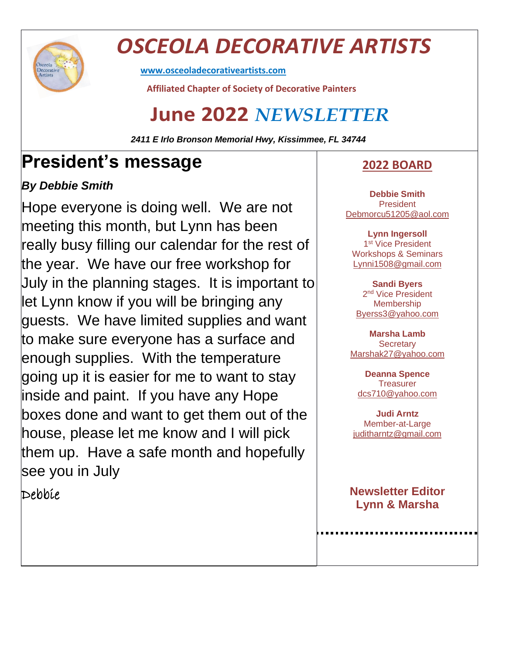

## *OSCEOLA DECORATIVE ARTISTS*

**[www.osceoladecorativeartists.com](http://www.osceoladecorativeartists.com/)**

 **Affiliated Chapter of Society of Decorative Painters**

### **June 2022** *NEWSLETTER*

*2411 E Irlo Bronson Memorial Hwy, Kissimmee, FL 34744*

### **President's message**

#### *By Debbie Smith*

Hope everyone is doing well. We are not meeting this month, but Lynn has been really busy filling our calendar for the rest of the year. We have our free workshop for July in the planning stages. It is important to let Lynn know if you will be bringing any guests. We have limited supplies and want to make sure everyone has a surface and enough supplies. With the temperature going up it is easier for me to want to stay inside and paint. If you have any Hope boxes done and want to get them out of the house, please let me know and I will pick them up. Have a safe month and hopefully see you in July

Debbie

#### **2022 BOARD**

**Debbie Smith President** [Debmorcu51205@aol.com](mailto:Debmorcu51205@aol.com)

**Lynn Ingersoll** 1<sup>st</sup> Vice President Workshops & Seminars [Lynni1508@gmail.com](mailto:Lynni1508@gmail.com)

**Sandi Byers** 2<sup>nd</sup> Vice President Membership [Byerss3@yahoo.com](mailto:Byerss3@yahoo.com)

**Marsha Lamb Secretary** [Marshak27@yahoo.com](mailto:Marshak27@yahoo.com)

**Deanna Spence Treasurer** [dcs710@yahoo.com](mailto:cs710@yahoo.com)

**Judi Arntz** Member-at-Large [juditharntz@gmail.com](mailto:juditharntz@gmail.com)

**Newsletter Editor Lynn & Marsha**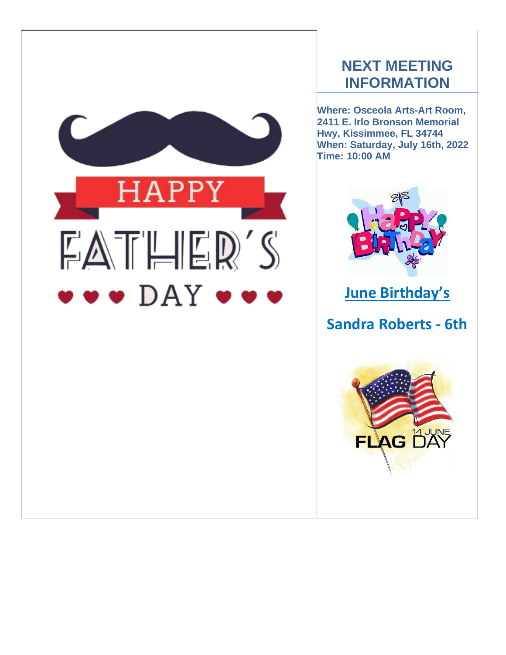

### **NEXT MEETING INFORMATION**

**Where: Osceola Arts-Art Room, 2411 E. Irlo Bronson Memorial Hwy, Kissimmee, FL 34744 When: Saturday, July 16th, 2022 Time: 10:00 AM**



### **June Birthday's**

### **Sandra Roberts - 6th**

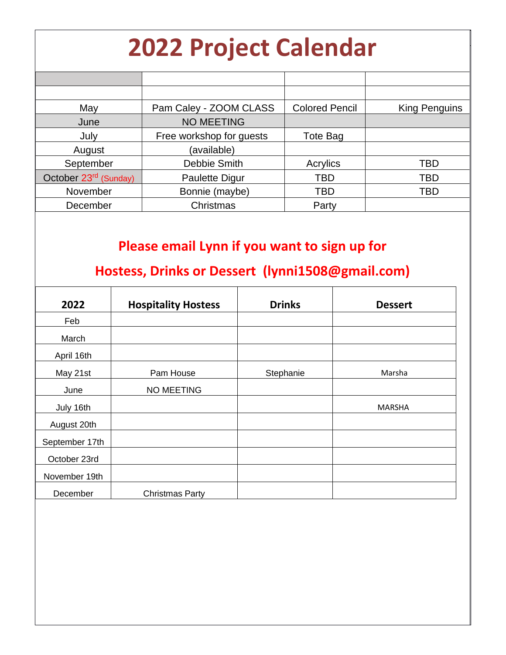# **2022 Project Calendar**

| May                               | Pam Caley - ZOOM CLASS   | <b>Colored Pencil</b> | <b>King Penguins</b> |
|-----------------------------------|--------------------------|-----------------------|----------------------|
| June                              | <b>NO MEETING</b>        |                       |                      |
| July                              | Free workshop for guests | Tote Bag              |                      |
| August                            | (available)              |                       |                      |
| September                         | Debbie Smith             | Acrylics              | TBD                  |
| October 23 <sup>rd</sup> (Sunday) | <b>Paulette Digur</b>    | TBD                   | <b>TBD</b>           |
| November                          | Bonnie (maybe)           | TBD                   | TBD                  |
| December                          | Christmas                | Party                 |                      |

### **Please email Lynn if you want to sign up for**

### **Hostess, Drinks or Dessert (lynni1508@gmail.com)**

| 2022           | <b>Hospitality Hostess</b> | <b>Drinks</b> | <b>Dessert</b> |
|----------------|----------------------------|---------------|----------------|
| Feb            |                            |               |                |
| March          |                            |               |                |
| April 16th     |                            |               |                |
| May 21st       | Pam House                  | Stephanie     | Marsha         |
| June           | <b>NO MEETING</b>          |               |                |
| July 16th      |                            |               | <b>MARSHA</b>  |
| August 20th    |                            |               |                |
| September 17th |                            |               |                |
| October 23rd   |                            |               |                |
| November 19th  |                            |               |                |
| December       | <b>Christmas Party</b>     |               |                |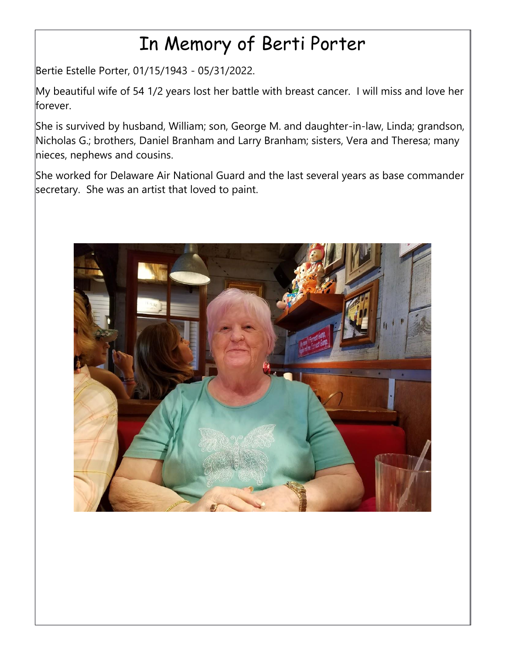## In Memory of Berti Porter

Bertie Estelle Porter, 01/15/1943 - 05/31/2022.

My beautiful wife of 54 1/2 years lost her battle with breast cancer. I will miss and love her forever.

She is survived by husband, William; son, George M. and daughter-in-law, Linda; grandson, Nicholas G.; brothers, Daniel Branham and Larry Branham; sisters, Vera and Theresa; many nieces, nephews and cousins.

She worked for Delaware Air National Guard and the last several years as base commander secretary. She was an artist that loved to paint.

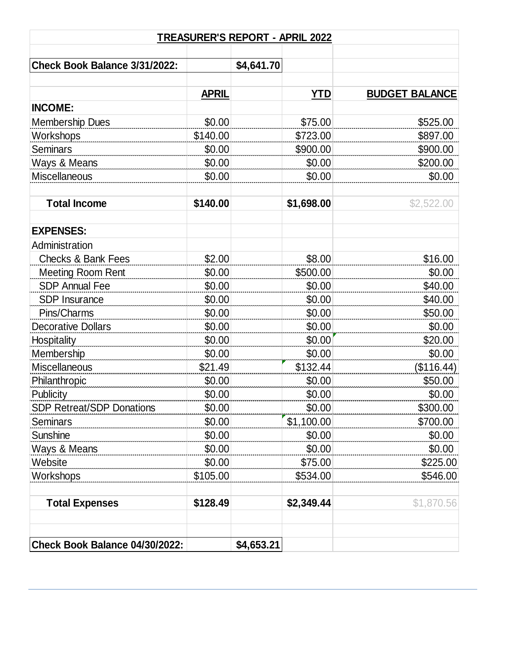| TREASURER'S REPORT - APRIL 2022  |              |            |            |                       |  |  |  |
|----------------------------------|--------------|------------|------------|-----------------------|--|--|--|
| Check Book Balance 3/31/2022:    |              | \$4,641.70 |            |                       |  |  |  |
|                                  | <b>APRIL</b> |            | <b>YTD</b> | <b>BUDGET BALANCE</b> |  |  |  |
| <b>INCOME:</b>                   |              |            |            |                       |  |  |  |
| <b>Membership Dues</b>           | \$0.00       |            | \$75.00    | \$525.00              |  |  |  |
| Workshops                        | \$140.00     |            | \$723.00   | \$897.00              |  |  |  |
| <b>Seminars</b>                  | \$0.00       |            | \$900.00   | \$900.00              |  |  |  |
| Ways & Means                     | \$0.00       |            | \$0.00     | \$200.00              |  |  |  |
| Miscellaneous                    | \$0.00       |            | \$0.00     | \$0.00                |  |  |  |
| <b>Total Income</b>              | \$140.00     |            | \$1,698.00 | \$2,522.00            |  |  |  |
| <b>EXPENSES:</b>                 |              |            |            |                       |  |  |  |
| Administration                   |              |            |            |                       |  |  |  |
| <b>Checks &amp; Bank Fees</b>    | \$2.00       |            | \$8.00     | \$16.00               |  |  |  |
| <b>Meeting Room Rent</b>         | \$0.00       |            | \$500.00   | \$0.00                |  |  |  |
| <b>SDP Annual Fee</b>            | \$0.00       |            | \$0.00     | \$40.00               |  |  |  |
| <b>SDP Insurance</b>             | \$0.00       |            | \$0.00     | \$40.00               |  |  |  |
| Pins/Charms                      | \$0.00       |            | \$0.00     | \$50.00               |  |  |  |
| <b>Decorative Dollars</b>        | \$0.00       |            | \$0.00     | \$0.00                |  |  |  |
| <b>Hospitality</b>               | \$0.00       |            | \$0.00     | \$20.00               |  |  |  |
| Membership                       | \$0.00       |            | \$0.00     | \$0.00                |  |  |  |
| Miscellaneous                    | \$21.49      |            | \$132.44   | (\$116.44)            |  |  |  |
| Philanthropic                    | \$0.00       |            | \$0.00     | \$50.00               |  |  |  |
| Publicity                        | \$0.00       |            | \$0.00     | \$0.00                |  |  |  |
| <b>SDP Retreat/SDP Donations</b> | \$0.00       |            | \$0.00     | \$300.00              |  |  |  |
| <b>Seminars</b>                  | \$0.00       |            | \$1,100.00 | \$700.00              |  |  |  |
| Sunshine                         | \$0.00       |            | \$0.00     | \$0.00                |  |  |  |
| Ways & Means                     | \$0.00       |            | \$0.00     | \$0.00                |  |  |  |
| Website                          | \$0.00       |            | \$75.00    | \$225.00              |  |  |  |
| Workshops                        | \$105.00     |            | \$534.00   | \$546.00              |  |  |  |
| <b>Total Expenses</b>            | \$128.49     |            | \$2,349.44 | \$1,870.56            |  |  |  |
| Check Book Balance 04/30/2022:   |              | \$4,653.21 |            |                       |  |  |  |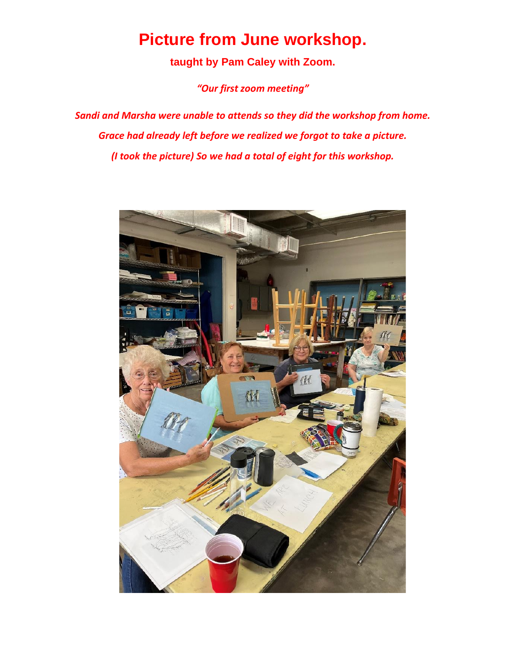### **Picture from June workshop.**

**taught by Pam Caley with Zoom.**

*"Our first zoom meeting"*

*Sandi and Marsha were unable to attends so they did the workshop from home. Grace had already left before we realized we forgot to take a picture. (I took the picture) So we had a total of eight for this workshop.*

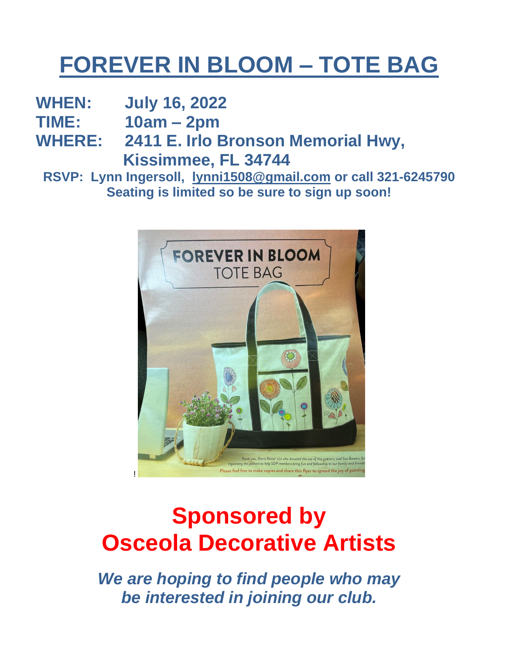## **FOREVER IN BLOOM – TOTE BAG**

**WHEN: July 16, 2022**

**TIME: 10am – 2pm**

**WHERE: 2411 E. Irlo Bronson Memorial Hwy, Kissimmee, FL 34744**

**RSVP: Lynn Ingersoll, [lynni1508@gmail.com](mailto:lynni1508@gmail.com) or call 321-6245790 Seating is limited so be sure to sign up soon!**



## **Sponsored by Osceola Decorative Artists**

*We are hoping to find people who may be interested in joining our club.*